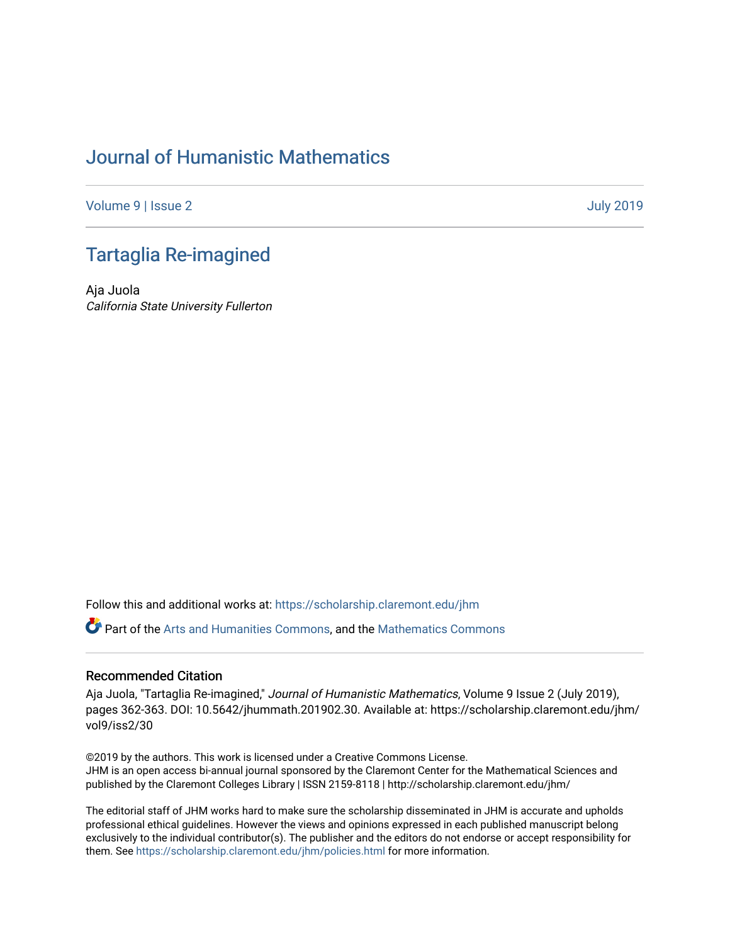# [Journal of Humanistic Mathematics](https://scholarship.claremont.edu/jhm)

[Volume 9](https://scholarship.claremont.edu/jhm/vol9) | [Issue 2](https://scholarship.claremont.edu/jhm/vol9/iss2) [July 2019](https://scholarship.claremont.edu/jhm/vol9/iss2) 

# [Tartaglia Re-imagined](https://scholarship.claremont.edu/jhm/vol9/iss2/30)

Aja Juola California State University Fullerton

Follow this and additional works at: [https://scholarship.claremont.edu/jhm](https://scholarship.claremont.edu/jhm?utm_source=scholarship.claremont.edu%2Fjhm%2Fvol9%2Fiss2%2F30&utm_medium=PDF&utm_campaign=PDFCoverPages)

Part of the [Arts and Humanities Commons,](http://network.bepress.com/hgg/discipline/438?utm_source=scholarship.claremont.edu%2Fjhm%2Fvol9%2Fiss2%2F30&utm_medium=PDF&utm_campaign=PDFCoverPages) and the [Mathematics Commons](http://network.bepress.com/hgg/discipline/174?utm_source=scholarship.claremont.edu%2Fjhm%2Fvol9%2Fiss2%2F30&utm_medium=PDF&utm_campaign=PDFCoverPages) 

### Recommended Citation

Aja Juola, "Tartaglia Re-imagined," Journal of Humanistic Mathematics, Volume 9 Issue 2 (July 2019), pages 362-363. DOI: 10.5642/jhummath.201902.30. Available at: https://scholarship.claremont.edu/jhm/ vol9/iss2/30

©2019 by the authors. This work is licensed under a Creative Commons License. JHM is an open access bi-annual journal sponsored by the Claremont Center for the Mathematical Sciences and published by the Claremont Colleges Library | ISSN 2159-8118 | http://scholarship.claremont.edu/jhm/

The editorial staff of JHM works hard to make sure the scholarship disseminated in JHM is accurate and upholds professional ethical guidelines. However the views and opinions expressed in each published manuscript belong exclusively to the individual contributor(s). The publisher and the editors do not endorse or accept responsibility for them. See<https://scholarship.claremont.edu/jhm/policies.html> for more information.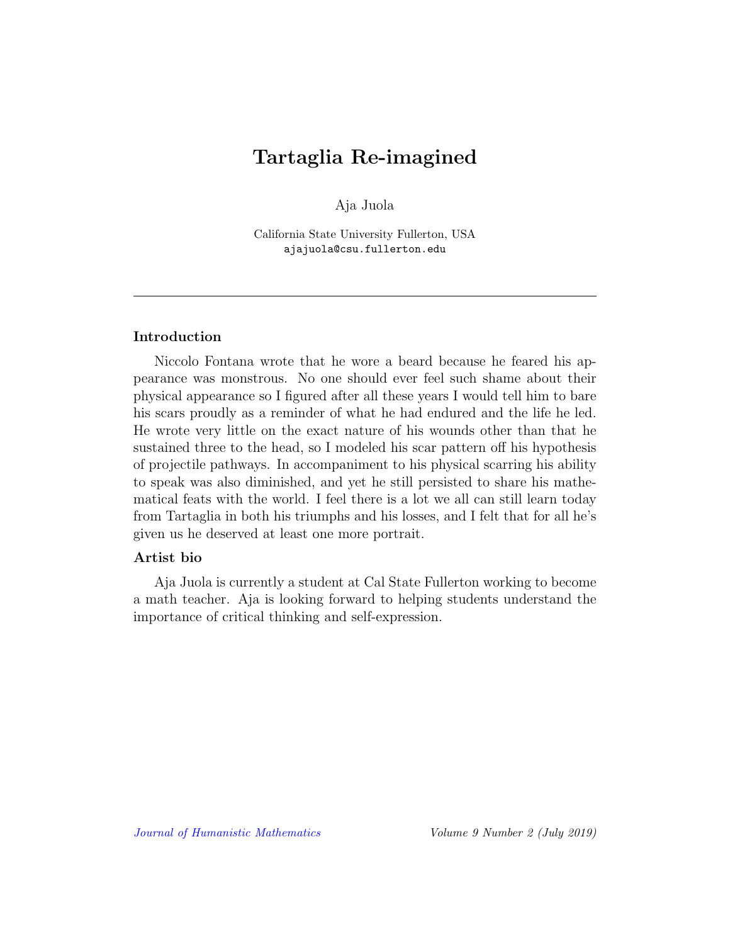# Tartaglia Re-imagined

Aja Juola

California State University Fullerton, USA ajajuola@csu.fullerton.edu

## Introduction

Niccolo Fontana wrote that he wore a beard because he feared his appearance was monstrous. No one should ever feel such shame about their physical appearance so I figured after all these years I would tell him to bare his scars proudly as a reminder of what he had endured and the life he led. He wrote very little on the exact nature of his wounds other than that he sustained three to the head, so I modeled his scar pattern off his hypothesis of projectile pathways. In accompaniment to his physical scarring his ability to speak was also diminished, and yet he still persisted to share his mathematical feats with the world. I feel there is a lot we all can still learn today from Tartaglia in both his triumphs and his losses, and I felt that for all he's given us he deserved at least one more portrait.

### Artist bio

Aja Juola is currently a student at Cal State Fullerton working to become a math teacher. Aja is looking forward to helping students understand the importance of critical thinking and self-expression.

[Journal of Humanistic Mathematics](http://scholarship.claremont.edu/jhm/) Volume 9 Number 2 (July 2019)